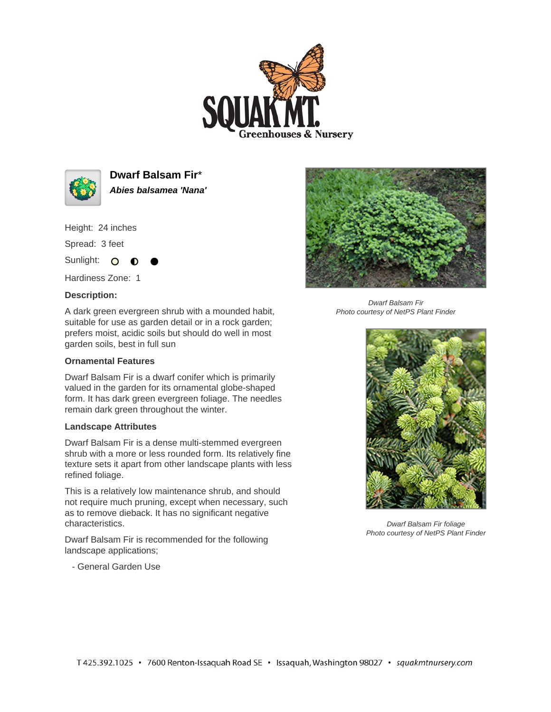



**Dwarf Balsam Fir**\* **Abies balsamea 'Nana'**

Height: 24 inches

Spread: 3 feet

Sunlight: O **O** 

Hardiness Zone: 1

## **Description:**

A dark green evergreen shrub with a mounded habit, suitable for use as garden detail or in a rock garden; prefers moist, acidic soils but should do well in most garden soils, best in full sun

## **Ornamental Features**

Dwarf Balsam Fir is a dwarf conifer which is primarily valued in the garden for its ornamental globe-shaped form. It has dark green evergreen foliage. The needles remain dark green throughout the winter.

## **Landscape Attributes**

Dwarf Balsam Fir is a dense multi-stemmed evergreen shrub with a more or less rounded form. Its relatively fine texture sets it apart from other landscape plants with less refined foliage.

This is a relatively low maintenance shrub, and should not require much pruning, except when necessary, such as to remove dieback. It has no significant negative characteristics.

Dwarf Balsam Fir is recommended for the following landscape applications;

- General Garden Use



Dwarf Balsam Fir Photo courtesy of NetPS Plant Finder



Dwarf Balsam Fir foliage Photo courtesy of NetPS Plant Finder